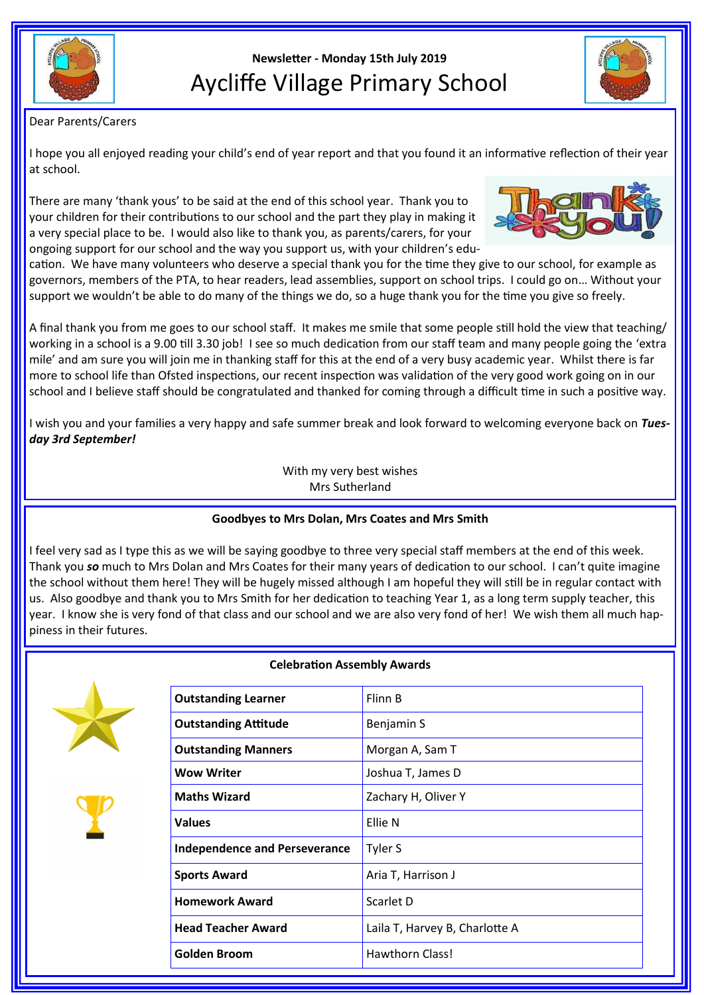

# **Newsletter - Monday 15th July 2019** Aycliffe Village Primary School



## Dear Parents/Carers

I hope you all enjoyed reading your child's end of year report and that you found it an informative reflection of their year at school.

There are many 'thank yous' to be said at the end of this school year. Thank you to your children for their contributions to our school and the part they play in making it a very special place to be. I would also like to thank you, as parents/carers, for your ongoing support for our school and the way you support us, with your children's edu-



cation. We have many volunteers who deserve a special thank you for the time they give to our school, for example as governors, members of the PTA, to hear readers, lead assemblies, support on school trips. I could go on… Without your support we wouldn't be able to do many of the things we do, so a huge thank you for the time you give so freely.

A final thank you from me goes to our school staff. It makes me smile that some people still hold the view that teaching/ working in a school is a 9.00 till 3.30 job! I see so much dedication from our staff team and many people going the 'extra mile' and am sure you will join me in thanking staff for this at the end of a very busy academic year. Whilst there is far more to school life than Ofsted inspections, our recent inspection was validation of the very good work going on in our school and I believe staff should be congratulated and thanked for coming through a difficult time in such a positive way.

I wish you and your families a very happy and safe summer break and look forward to welcoming everyone back on *Tuesday 3rd September!*

> With my very best wishes Mrs Sutherland

#### **Goodbyes to Mrs Dolan, Mrs Coates and Mrs Smith**

I feel very sad as I type this as we will be saying goodbye to three very special staff members at the end of this week. Thank you *so* much to Mrs Dolan and Mrs Coates for their many years of dedication to our school. I can't quite imagine the school without them here! They will be hugely missed although I am hopeful they will still be in regular contact with us. Also goodbye and thank you to Mrs Smith for her dedication to teaching Year 1, as a long term supply teacher, this year. I know she is very fond of that class and our school and we are also very fond of her! We wish them all much happiness in their futures.



#### **Celebration Assembly Awards**

| <b>Outstanding Learner</b>           | Flinn B                        |
|--------------------------------------|--------------------------------|
| <b>Outstanding Attitude</b>          | Benjamin S                     |
| <b>Outstanding Manners</b>           | Morgan A, Sam T                |
| Wow Writer                           | Joshua T, James D              |
| <b>Maths Wizard</b>                  | Zachary H, Oliver Y            |
| Values                               | Ellie N                        |
| <b>Independence and Perseverance</b> | Tyler S                        |
| <b>Sports Award</b>                  | Aria T, Harrison J             |
| <b>Homework Award</b>                | Scarlet D                      |
| <b>Head Teacher Award</b>            | Laila T, Harvey B, Charlotte A |
| Golden Broom                         | <b>Hawthorn Class!</b>         |
|                                      |                                |